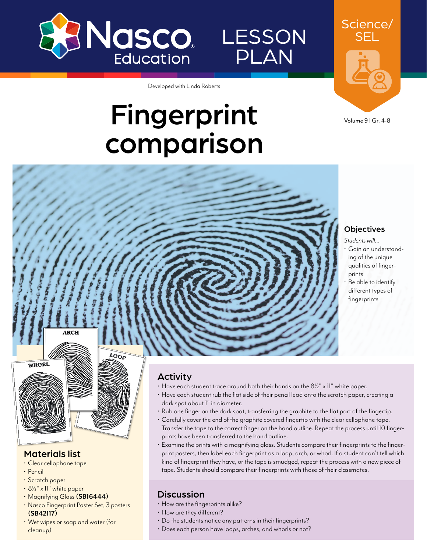

## LESSON PLAN

SEL

Science/

Developed with Linda Roberts

# Fingerprint comparison



#### **Objectives**

- *Students will…*
- Gain an understanding of the unique qualities of fingerprints
- Be able to identify different types of fingerprints



**ARCH** 

LOOP

#### Materials list

- Clear cellophane tape
- Pencil
- Scratch paper
- 81/2" x 11" white paper
- Magnifying Glass **([SB16444\)](http://www.enasco.com/p/SB16444)**
- Nasco Fingerprint Poster Set, 3 posters **([SB42117\)](http://www.enasco.com/p/SB42117)**
- Wet wipes or soap and water (for cleanup)

#### Activity

- $\cdot$  Have each student trace around both their hands on the 8 $\frac{1}{2}$ " x 11" white paper.
- Have each student rub the flat side of their pencil lead onto the scratch paper, creating a dark spot about 1" in diameter.
- Rub one finger on the dark spot, transferring the graphite to the flat part of the fingertip.
- Carefully cover the end of the graphite covered fingertip with the clear cellophane tape. Transfer the tape to the correct finger on the hand outline. Repeat the process until 10 fingerprints have been transferred to the hand outline.
- Examine the prints with a magnifying glass. Students compare their fingerprints to the fingerprint posters, then label each fingerprint as a loop, arch, or whorl. If a student can't tell which kind of fingerprint they have, or the tape is smudged, repeat the process with a new piece of tape. Students should compare their fingerprints with those of their classmates.

#### **Discussion**

- How are the fingerprints alike?
- How are they different?
- Do the students notice any patterns in their fingerprints?
- Does each person have loops, arches, and whorls or not?